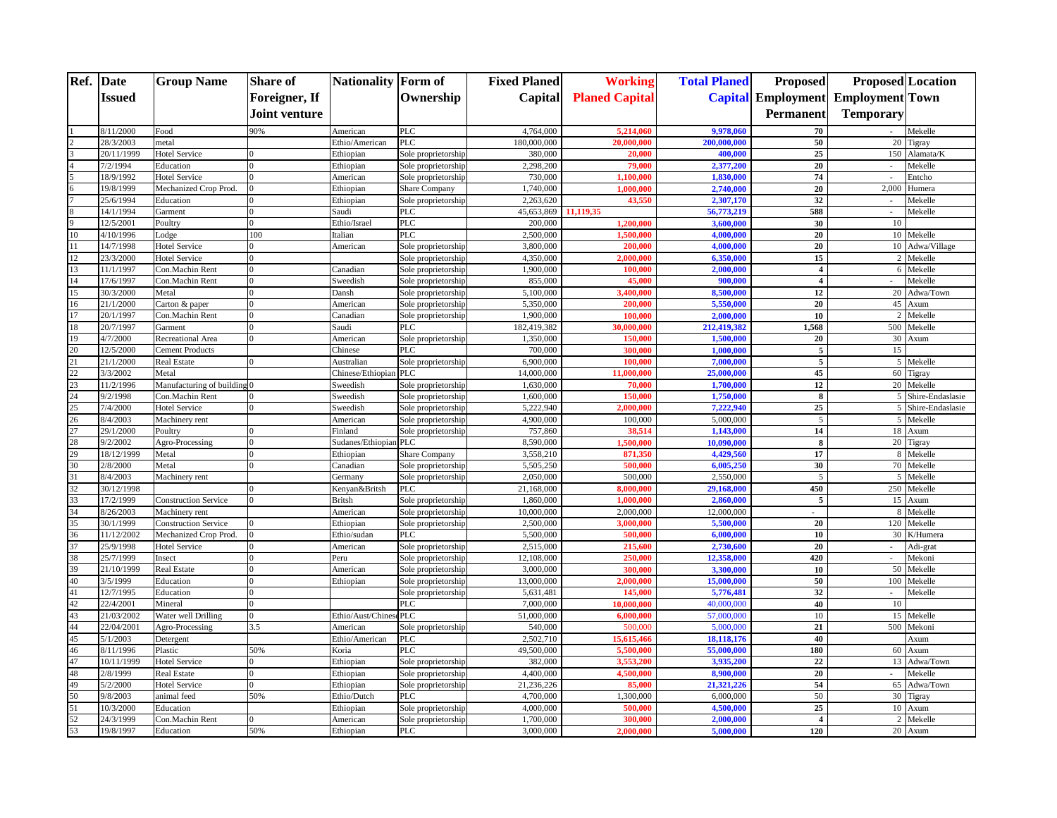|                 | Ref. Date              | <b>Group Name</b>           | <b>Share of</b> | <b>Nationality</b> Form of |                      | <b>Fixed Planed</b>   | <b>Working</b>         | <b>Total Planed</b>     | <b>Proposed</b>           | <b>Proposed</b> Location |                    |
|-----------------|------------------------|-----------------------------|-----------------|----------------------------|----------------------|-----------------------|------------------------|-------------------------|---------------------------|--------------------------|--------------------|
|                 | Issued                 |                             | Foreigner, If   |                            | Ownership            | Capital               | <b>Planed Capital</b>  |                         | <b>Capital Employment</b> | <b>Employment</b> Town   |                    |
|                 |                        |                             | Joint venture   |                            |                      |                       |                        |                         | Permanent                 | <b>Temporary</b>         |                    |
|                 |                        |                             |                 |                            |                      |                       |                        |                         |                           |                          |                    |
|                 | 3/11/2000              | Food                        | 90%             | American                   | PLC                  | 4,764,000             | 5,214,060              | 9,978,060               | 70                        |                          | Mekelle            |
|                 | 28/3/2003              | netal                       |                 | Ethio/American             | PLC                  | 180,000,000           | 20,000,000             | 200,000,000             | 50                        | 20                       | Figray             |
|                 | 20/11/1999             | <b>Hotel Service</b>        |                 | Ethiopian                  | Sole proprietorship  | 380,000               | 20,000                 | 400,000                 | 25                        | 150                      | Alamata/K          |
|                 | 7/2/1994               | Education                   |                 | Ethiopian                  | Sole proprietorship  | 2,298,200             | 79,000                 | 2,377,200               | 20                        |                          | Mekelle            |
|                 | 18/9/1992              | <b>Hotel Service</b>        | $\Omega$        | American                   | Sole proprietorship  | 730,000               | 1.100.000              | 1,830,000               | 74                        |                          | Entcho             |
|                 | 19/8/1999              | Mechanized Crop Prod.       |                 | Ethiopian                  | <b>Share Company</b> | 1,740,000             | 1,000,000              | 2,740,000               | 20                        |                          | 2,000 Humera       |
|                 | 25/6/1994              | Education                   |                 | Ethiopian                  | Sole proprietorship  | 2,263,620             | 43,550                 | 2,307,170               | 32<br>588                 |                          | Mekelle            |
|                 | 14/1/1994<br>12/5/2001 | Garment                     | $\Omega$        | Saudi<br>Ethio/Israel      | PLC<br>PLC           | 45,653,869<br>200,000 | 11,119,35<br>1,200,000 | 56,773,219<br>3,600,000 | 30                        | $\sim$<br>10             | Mekelle            |
| 10              | 4/10/1996              | Poultry                     | 100             | Italian                    | <b>PLC</b>           | 2,500,000             | 1,500,00               | 4,000,000               | 20                        |                          | 10 Mekelle         |
| 11              | 14/7/1998              | Lodge<br>Hotel Service      |                 | American                   | Sole proprietorship  | 3,800,000             | 200,000                | 4,000,000               | 20                        |                          | 10 Adwa/Village    |
| 12              | 23/3/2000              | <b>Hotel Service</b>        |                 |                            | Sole proprietorship  | 4,350,000             | 2.000.000              | 6,350,000               | 15                        | $\overline{2}$           | Mekelle            |
| 13              | 11/1/1997              | Con.Machin Rent             |                 | Canadian                   | Sole proprietorship  | 1,900,000             | 100,000                | 2,000,000               | $\overline{4}$            | 6                        | Mekelle            |
| 14              | 17/6/1997              | Con.Machin Rent             |                 | Sweedish                   | Sole proprietorship  | 855,000               | 45,000                 | 900,000                 | $\boldsymbol{4}$          |                          | Mekelle            |
| 15              | 30/3/2000              | Metal                       |                 | Dansh                      | Sole proprietorship  | 5.100,000             | 3,400,00               | 8,500,000               | 12                        |                          | 20 Adwa/Town       |
| 16              | 21/1/2000              | Carton & paper              |                 | American                   | Sole proprietorship  | 5,350,000             | 200,000                | 5,550,000               | 20                        |                          | 45 Axum            |
| 17              | 20/1/1997              | Con.Machin Rent             |                 | Canadian                   | Sole proprietorship  | 1,900,000             | 100.00                 | 2,000,000               | 10                        | $\overline{2}$           | Mekelle            |
| 18              | 20/7/1997              | Garment                     |                 | Saudi                      | <b>PLC</b>           | 182,419,382           | 30,000,000             | 212,419,382             | 1,568                     | 500                      | Mekelle            |
| 19              | 4/7/2000               | <b>Recreational Area</b>    |                 | American                   | Sole proprietorship  | 1,350,000             | 150,000                | 1,500,000               | 20                        | 30                       | Axum               |
|                 | 12/5/2000              | <b>Cement Products</b>      |                 | Chinese                    | <b>PLC</b>           | 700,000               | 300,00                 | 1,000,000               | 5                         | 15                       |                    |
| $\frac{20}{21}$ | 21/1/2000              | Real Estate                 |                 | Australian                 | Sole proprietorship  | 6,900,000             | 100,000                | 7,000,000               | 5                         |                          | 5 Mekelle          |
| 22              | 3/3/2002               | Metal                       |                 | Chinese/Ethiopian          | PLC                  | 14,000,000            | 11,000,000             | 25,000,000              | 45                        |                          | 60 Tigray          |
|                 | 11/2/1996              | Manufacturing of building   |                 | Sweedish                   | Sole proprietorship  | 1,630,000             | 70,000                 | 1,700,000               | 12                        |                          | 20 Mekelle         |
|                 | 9/2/1998               | Con.Machin Rent             |                 | Sweedish                   | Sole proprietorship  | 1,600,000             | 150,000                | 1,750,000               | 8                         |                          | 5 Shire-Endaslasie |
| $\frac{23}{24}$ | 7/4/2000               | Hotel Service               |                 | Sweedish                   | Sole proprietorship  | 5,222,940             | 2,000,000              | 7,222,940               | 25                        |                          | 5 Shire-Endaslasie |
| 26              | 8/4/2003               | Machinery rent              |                 | American                   | Sole proprietorship  | 4,900,000             | 100,000                | 5,000,000               | 5                         |                          | 5 Mekelle          |
| 27              | 29/1/2000              | Poultry                     |                 | Finland                    | Sole proprietorship  | 757,860               | 38.514                 | 1,143,000               | 14                        |                          | 18 Axum            |
| 28              | 9/2/2002               | Agro-Processing             |                 | Sudanes/Ethiopian PLC      |                      | 8,590,000             | 1,500,000              | 10,090,000              | 8                         |                          | 20 Tigray          |
|                 | 18/12/1999             | Metal                       |                 | Ethiopian                  | <b>Share Company</b> | 3,558,210             | 871,350                | 4,429,560               | 17                        |                          | 8 Mekelle          |
| 29<br>30        | 2/8/2000               | Metal                       |                 | Canadian                   | Sole proprietorship  | 5,505,250             | 500,000                | 6,005,250               | 30                        |                          | 70 Mekelle         |
| 31              | 8/4/2003               | Machinery rent              |                 | Germany                    | Sole proprietorship  | 2,050,000             | 500,000                | 2,550,000               | 5                         |                          | 5 Mekelle          |
| 32              | 30/12/1998             |                             | $\Omega$        | Kenyan&Britsh              | <b>PLC</b>           | 21,168,000            | 8.000.00               | 29,168,000              | 450                       |                          | 250 Mekelle        |
| 33              | 17/2/1999              | <b>Construction Service</b> |                 | <b>Britsh</b>              | Sole proprietorship  | 1,860,000             | 1,000,000              | 2,860,000               | 5                         |                          | 15 Axum            |
| 34              | 8/26/2003              | Machinery rent              |                 | American                   | Sole proprietorship  | 10,000,000            | 2,000,000              | 12,000,000              |                           | 8                        | Mekelle            |
| 35              | 30/1/1999              | <b>Construction Service</b> |                 | Ethiopian                  | Sole proprietorship  | 2,500,000             | 3,000,000              | 5,500,000               | 20                        | 120                      | Mekelle            |
| 36              | 11/12/2002             | Mechanized Crop Prod        |                 | Ethio/sudan                | <b>PLC</b>           | 5,500,000             | 500,000                | 6.000.000               | 10                        |                          | 30 K/Humera        |
| 37              | 25/9/1998              | <b>Hotel Service</b>        |                 | American                   | Sole proprietorship  | 2,515,000             | 215,600                | 2,730,600               | 20                        |                          | Adi-grat           |
| 38              | 25/7/1999              | Insect                      |                 | Peru                       | Sole proprietorship  | 12,108,000            | 250,000                | 12,358,000              | 420                       | $\sim$                   | Mekoni             |
| 39              | 21/10/1999             | Real Estate                 |                 | American                   | Sole proprietorship  | 3,000,000             | 300,000                | 3,300,000               | 10                        | 50                       | Mekelle            |
| 40              | 3/5/1999               | Education                   |                 | Ethiopian                  | Sole proprietorship  | 13,000,000            | 2,000,000              | 15,000,000              | 50                        | 100                      | Mekelle            |
| 41              | 12/7/1995              | Education                   |                 |                            | Sole proprietorship  | 5,631,481             | 145,000                | 5,776,481               | 32                        |                          | Mekelle            |
| 42              | 22/4/2001              | Mineral                     | $\bf{0}$        |                            | <b>PLC</b>           | 7,000,000             | 10,000,00              | 40,000,000              | 40                        | 10                       |                    |
| 43              | 21/03/2002             | Water well Drilling         | $\Omega$        | Ethio/Aust/ChinesePLC      |                      | 51,000,000            | 6,000,000              | 57,000,000              | 10                        |                          | 15 Mekelle         |
| 44              | 22/04/2001             | Agro-Processing             | 3.5             | American                   | Sole proprietorship  | 540,000               | 500,00                 | 5,000,000               | 21                        | 500                      | Mekoni             |
| 45              | 5/1/2003               | Detergent                   |                 | Ethio/American             | PLC                  | 2,502,710             | 15,615,466             | 18,118,176              | 40                        |                          | Axum               |
| 46              | $\sqrt{8/1}1/1996$     | Plastic                     | 50%             | Koria                      | PLC                  | 49,500,000            | 5,500,000              | 55,000,000              | 180                       | 60                       | Axum               |
| 47              | 10/11/1999             | <b>Hotel Service</b>        |                 | Ethiopian                  | Sole proprietorship  | 382,000               | 3,553,200              | 3,935,200               | 22                        | 13                       | Adwa/Town          |
| 48              | 2/8/1999               | Real Estate                 |                 | Ethiopian                  | Sole proprietorship  | 4,400,000             | 4,500,000              | 8,900,000               | 20                        |                          | Mekelle            |
| 49              | 5/2/2000               | <b>Hotel Service</b>        |                 | Ethiopian                  | Sole proprietorship  | 21,236,226            | 85,000                 | 21,321,226              | 54                        | 65                       | Adwa/Town          |
| 50              | 9/8/2003               | animal feed                 | 50%             | Ethio/Dutch                | PLC                  | 4,700,000             | 1,300,000              | 6,000,000               | 50                        |                          | 30 Tigray          |
| 51              | 10/3/2000              | Education                   |                 | Ethiopian                  | Sole proprietorship  | 4,000,000             | 500,00                 | 4,500,000               | 25                        | 10                       | Axum               |
| 52              | 24/3/1999              | Con.Machin Rent             | $\Omega$        | American                   | Sole proprietorship  | 1,700,000             | 300,000                | 2,000,000               | $\overline{\mathbf{4}}$   | 2                        | Mekelle            |
| 53              | 19/8/1997              | Education                   | 50%             | Ethiopian                  | <b>PLC</b>           | 3,000,000             | 2,000,000              | 5,000,000               | 120                       |                          | 20 Axum            |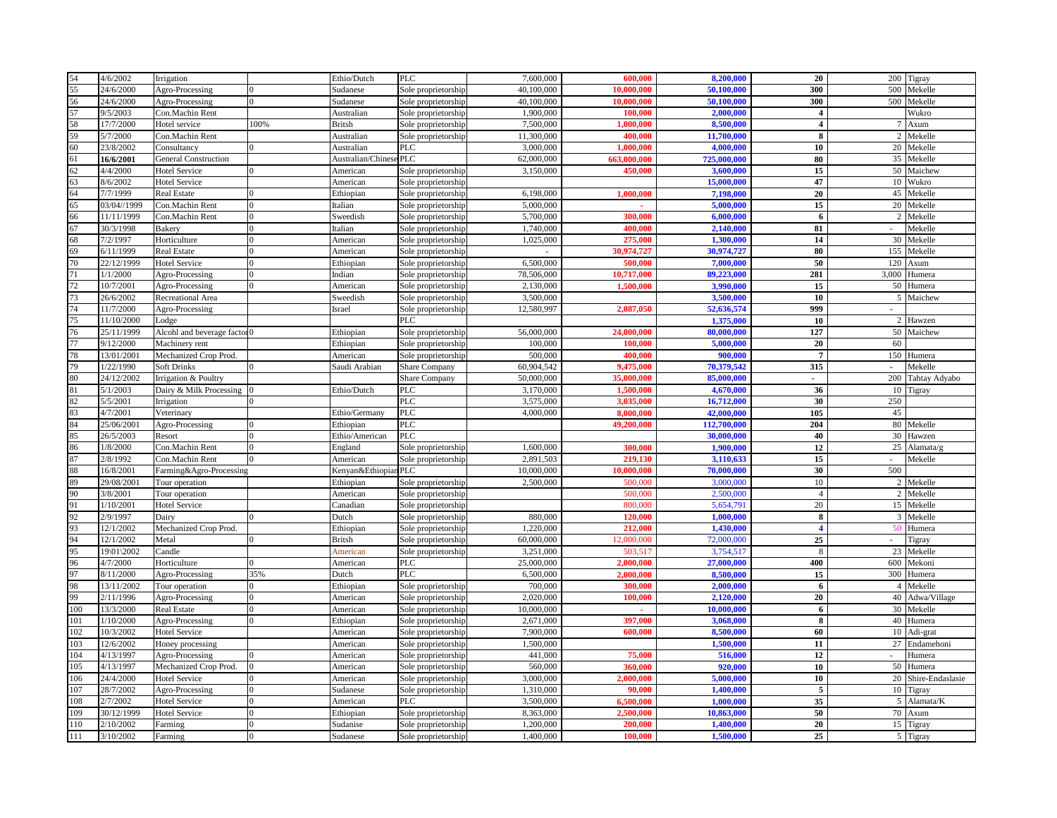| 54         | 4/6/2002               | Irrigation                          |          | Ethio/Dutch          | PLC                                        | 7,600,000              | 600,000            | 8,200,000              | 20                       | 200            | Tigray                 |
|------------|------------------------|-------------------------------------|----------|----------------------|--------------------------------------------|------------------------|--------------------|------------------------|--------------------------|----------------|------------------------|
| 55         | 24/6/2000              | Agro-Processing                     |          | Sudanese             | Sole proprietorship                        | 40,100,000             | 10.000.000         | 50,100,000             | 300                      | 500            | Mekelle                |
| 56         | 24/6/2000              | Agro-Processing                     |          | Sudanese             | Sole proprietorship                        | 40,100,000             | 10.000.000         | 50,100,000             | 300                      | 500            | Mekelle                |
| 57         | 9/5/2003               | Con.Machin Rent                     |          | Australian           | Sole proprietorship                        | 1,900,000              | 100,000            | 2,000,000              | $\overline{\mathbf{4}}$  |                | Wukro                  |
| 58         | 17/7/2000              | Hotel service                       | 100%     | <b>Britsh</b>        | Sole proprietorship                        | 7,500,000              | 1.000.000          | 8.500,000              | $\overline{\mathbf{4}}$  | 7              | Axum                   |
| 59         | 5/7/2000               | Con.Machin Rent                     |          | Australian           | Sole proprietorship                        | 11.300,000             | 400,000            | 11,700,000             | 8                        | $\overline{2}$ | Mekelle                |
| 60         | 23/8/2002              | Consultancy                         |          | Australian           | PLC                                        | 3,000,000              | 1,000,000          | 4.000.000              | 10                       |                | 20 Mekelle             |
| 61         | 16/6/2001              | <b>General Construction</b>         |          | Australian/Chines    | <b>PLC</b>                                 | 62,000,000             | 663,000,000        | 725,000,000            | 80                       |                | 35 Mekelle             |
| 62         | 4/4/2000               | <b>Hotel Service</b>                |          | American             | Sole proprietorship                        | 3,150,000              | 450,000            | 3,600,000              | 15                       |                | 50 Maichew             |
| 63         | 8/6/2002               | <b>Hotel Service</b>                |          | American             | Sole proprietorship                        |                        |                    | 15,000,000             | 47                       |                | 10 Wukro               |
| 64         | 7/7/1999               | <b>Real Estate</b>                  |          | Ethiopian            | Sole proprietorship                        | 6,198,000              | 1,000,000          | 7,198,000              | 20                       |                | 45 Mekelle             |
| 65         | 03/04//1999            | Con.Machin Rent                     |          | Italian              | Sole proprietorship                        | 5,000,000              |                    | 5,000,000              | 15                       |                | 20 Mekelle             |
| 66         | 11/11/1999             | Con.Machin Rent                     | $\Omega$ | Sweedish             | Sole proprietorship                        | 5,700,000              | 300,000            | 6,000,000              | 6                        | 2              | Mekelle                |
| 67         | 30/3/1998              | <b>Bakery</b>                       |          | Italian              | Sole proprietorship                        | 1,740,000              | 400.000            | 2,140,000              | 81                       | $\sim$         | Mekelle                |
| 68         | 7/2/1997               | Horticulture                        | $\Omega$ | American             | Sole proprietorship                        | 1,025,000              | 275,000            | 1,300,000              | 14                       |                | 30 Mekelle             |
| 69         | 5/11/1999              | <b>Real Estate</b>                  |          | American             | Sole proprietorship                        |                        | 30,974,727         | 30,974,727             | 80                       | 155            | Mekelle                |
| 70         | 22/12/1999             | <b>Hotel Service</b>                |          | Ethiopian            | Sole proprietorship                        | 6,500,000              | 500,000            | 7,000,000              | 50                       | 120            | Axum                   |
| 71         | 1/1/2000               | Agro-Processing                     |          | Indian               | Sole proprietorship                        | 78,506,000             | 10,717,000         | 89,223,000             | 281                      | 3.000          | Humera                 |
| 72         | 10/7/2001              | Agro-Processing                     |          | American             | Sole proprietorship                        | 2,130,000              | 1,500,000          | 3,990,000              | 15                       | 50             | Humera                 |
| 73         | 26/6/2002              | <b>Recreational Area</b>            |          | Sweedish             |                                            | 3,500,000              |                    | 3,500,000              | 10                       | $\mathcal{F}$  | Maichew                |
| 74         | 11/7/2000              | Agro-Processing                     |          | Israel               | Sole proprietorship<br>Sole proprietorship | 12,580,997             | 2,087,050          | 52,636,574             | 999                      |                |                        |
| 75         | 11/10/2000             | Lodge                               |          |                      | PLC.                                       |                        |                    | 1.375,000              | 10                       |                | 2 Hawzen               |
| 76         |                        |                                     |          |                      |                                            | 56,000,000             | 24,000,000         | 80,000,000             | 127                      |                |                        |
|            | 25/11/1999             | Alcohl and beverage factor 0        |          | Ethiopian            | Sole proprietorship                        |                        |                    |                        |                          |                | 50 Maichew             |
| 77         | 9/12/2000              | Machinery rent                      |          | Ethiopian            | Sole proprietorship                        | 100,000                | 100,000            | 5,000,000              | 20                       | 60             |                        |
| 78         | 13/01/2001             | Mechanized Crop Prod.               |          | American             | Sole proprietorship                        | 500,000                | 400.000            | 900,000                | $\overline{7}$           |                | 150 Humera             |
| 79         | 1/22/1990              | <b>Soft Drinks</b>                  |          | Saudi Arabian        | Share Company                              | 60,904,542             | 9,475,000          | 70.379.542             | 315                      |                | Mekelle                |
| 80         | 24/12/2002             | Irrigation & Poultry                |          |                      | Share Company                              | 50,000,000             | 35,000,000         | 85,000,000             | $\overline{\phantom{a}}$ | 200            | Tahtay Adyabo          |
| 81         | 5/1/2003               | Dairy & Milk Processing             |          | Ethio/Dutch          | <b>PLC</b>                                 | 3,170,000              | 1,500,000          | 4,670,000              | 36                       | 10             | Tigray                 |
| 82         | 5/5/2001               | Irrigation                          |          |                      | <b>PLC</b>                                 | 3,575,000              | 3,035,000          | 16,712,000             | 30                       | 250            |                        |
| 83         | 4/7/2001               | Veterinary                          |          | Ethio/Germany        | <b>PLC</b>                                 | 4,000,000              | 8,000,000          | 42,000,000             | 105                      | 45             |                        |
| 84         | 25/06/2001             | Agro-Processing                     |          | Ethiopian            | PLC                                        |                        | 49,200,000         | 112,700,000            | 204                      |                | 80 Mekelle             |
| 85         | 26/5/2003              | Resort                              |          | Ethio/American       | <b>PLC</b>                                 |                        |                    | 30,000,000             | 40                       |                | 30 Hawzen              |
| 86         | 1/8/2000               | Con.Machin Rent                     |          | England              | Sole proprietorship                        | 1,600,000              | 300,000            | 1,900,000              | 12                       | 25             | Alamata/               |
| 87         | 2/8/1992               | Con.Machin Rent                     |          | American             | Sole proprietorship                        | 2.891.503              | 219,130            | 3.110.633              | 15                       | $\sim$         | Mekelle                |
| 88         | 16/8/2001              | Farming&Agro-Processing             |          | Kenyan&Ethiopian PLC |                                            | 10,000,000             | 10,000,000         | 70,000,000             | 30                       | 500            |                        |
| 89         | 29/08/2001             | Tour operation                      |          | Ethiopian            | Sole proprietorship                        | 2,500,000              | 500,000            | 3.000.000              | 10                       |                | 2 Mekelle              |
| 90         | 3/8/2001               | Tour operation                      |          | American             | Sole proprietorship                        |                        | 500,000            | 2,500,000              | $\overline{4}$           |                | 2 Mekelle              |
| 91         | 1/10/2001              | <b>Hotel Service</b>                |          | Canadian             | Sole proprietorship                        |                        | 800,000            | 5,654,791              | 20                       |                | 15 Mekelle             |
| 92         | 2/9/1997               | Dairy                               |          | Dutch                | Sole proprietorship                        | 880,000                | 120,000            | 1,000,000              | 8                        |                | 3 Mekelle              |
| 93         | 12/1/2002              | Mechanized Crop Prod.               |          | Ethiopian            | Sole proprietorship                        | 1,220,000              | 212,000            | 1,430,000              | $\overline{\mathbf{4}}$  |                | Humera                 |
| 94         | 12/1/2002              | Metal                               |          | <b>Britsh</b>        | Sole proprietorship                        | 60,000,000             | 2,000,000          | 72,000,000             | 25                       |                | Tigray                 |
| 95         | 19\01\2002             | Candle                              |          | American             | Sole proprietorship                        | 3,251,000              | 503,517            | 3,754,517              | 8                        |                | 23 Mekelle             |
| 96         | 4/7/2000               | Horticulture                        |          | American             | <b>PLC</b>                                 | 25,000,000             | 2.000.000          | 27,000,000             | 400                      | 600            | Mekoni                 |
| 97         | 3/11/2000              | Agro-Processing                     | 35%      | Dutch                | PLC                                        | 6,500,000              | 2,000,000          | 8.500,000              | 15                       |                | 300 Humera             |
| 98         | 13/11/2002             | Tour operation                      |          | Ethiopian            | Sole proprietorship                        | 700,000                | 300,000            | 2,000,000              | 6                        |                | 4 Mekelle              |
| 99         | 2/11/1996              | Agro-Processing                     |          | American             | Sole proprietorship                        | 2.020.000              | 100,000            | 2,120,000              | 20                       |                | 40 Adwa/Village        |
| 100        | 13/3/2000              | <b>Real Estate</b>                  |          | American             | Sole proprietorship                        | 10,000,000             |                    | 10,000,000             | 6                        | 30             | Mekelle                |
| 101        | 1/10/2000              | Agro-Processing                     |          | Ethiopian            | Sole proprietorship                        | 2,671,000              | 397,000            | 3,068,000              | $\overline{\mathbf{8}}$  |                | $\overline{40}$ Humera |
| 102        |                        | <b>Hotel Service</b>                |          | American             | Sole proprietorship                        | 7,900,000              | 600,000            | 8,500,000              | 60                       |                | 10 Adi-grat            |
|            | 10/3/2002              |                                     |          |                      |                                            |                        |                    |                        |                          |                |                        |
| 103        | 12/6/2002              |                                     |          | American             |                                            | 1,500,000              |                    | 1,500,000              | 11                       |                | 27 Endamehoni          |
| 104        | 4/13/1997              | Honey processing<br>Agro-Processing |          | American             | Sole proprietorship<br>Sole proprietorship | 441,000                | 75,000             | 516,000                | 12                       |                | Humera                 |
| 105        | 4/13/1997              | Mechanized Crop Prod.               |          | American             |                                            | 560,000                | 360,000            | 920,000                | 10                       |                |                        |
|            |                        |                                     |          |                      | Sole proprietorship                        |                        |                    |                        |                          |                | $\overline{50}$ Humera |
| 106        | 24/4/2000              | <b>Hotel Service</b>                |          | American             | Sole proprietorship                        | 3,000,000              | 2.000.000          | 5,000,000              | 10                       |                | 20 Shire-Endaslasie    |
| 107        | 28/7/2002              | Agro-Processing                     |          | Sudanese             | Sole proprietorship                        | 1,310,000              | 90,000             | 1,400,000              | $\sqrt{5}$               | 10             | Tigray                 |
| 108        | 2/7/2002               | <b>Hotel Service</b>                |          | American             | PLC                                        | 3,500,000              | 6,500,000          | 1,000,000              | 35                       | 5              | Alamata/K              |
| 109        | 30/12/1999             | <b>Hotel Service</b>                |          | Ethiopian            | Sole proprietorship                        | 8.363,000              | 2,500,000          | 10,863,000             | 50                       |                | 70 Axum                |
| 110<br>111 | 2/10/2002<br>3/10/2002 | Farming<br>Farming                  | $\Omega$ | Sudanise<br>Sudanese | Sole proprietorship<br>Sole proprietorship | 1,200,000<br>1,400,000 | 200,000<br>100,000 | 1,400,000<br>1,500,000 | 20<br>25                 |                | 15 Tigray<br>5 Tigray  |